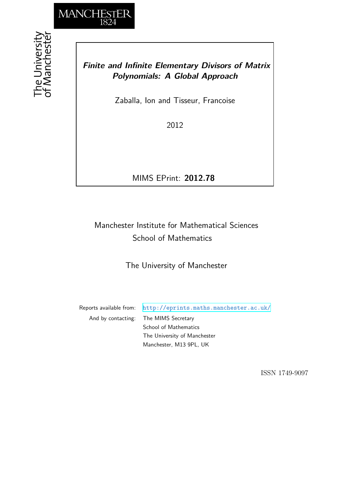

## *Finite and Infinite Elementary Divisors of Matrix Polynomials: A Global Approach*

Zaballa, Ion and Tisseur, Francoise

2012

MIMS EPrint: **2012.78**

## Manchester Institute for Mathematical Sciences School of Mathematics

The University of Manchester

Reports available from: <http://eprints.maths.manchester.ac.uk/> And by contacting: The MIMS Secretary School of Mathematics The University of Manchester Manchester, M13 9PL, UK

ISSN 1749-9097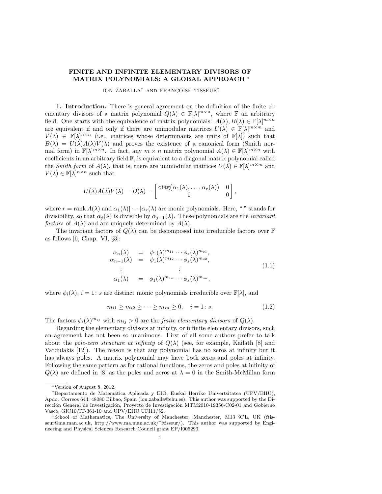## FINITE AND INFINITE ELEMENTARY DIVISORS OF MATRIX POLYNOMIALS: A GLOBAL APPROACH <sup>∗</sup>

ION ZABALLA<sup>†</sup> AND FRANÇOISE TISSEUR<sup>‡</sup>

1. Introduction. There is general agreement on the definition of the finite elementary divisors of a matrix polynomial  $Q(\lambda) \in \mathbb{F}[\lambda]^{m \times n}$ , where  $\mathbb F$  an arbitrary field. One starts with the equivalence of matrix polynomials:  $A(\lambda), B(\lambda) \in \mathbb{F}[\lambda]^{m \times n}$ are equivalent if and only if there are unimodular matrices  $U(\lambda) \in \mathbb{F}[\lambda]^{m \times m}$  and  $V(\lambda) \in \mathbb{F}[\lambda]^{n \times n}$  (i.e., matrices whose determinants are units of  $\mathbb{F}[\lambda]$ ) such that  $B(\lambda) = U(\lambda)A(\lambda)V(\lambda)$  and proves the existence of a canonical form (Smith normal form) in  $\mathbb{F}[\lambda]^{m \times n}$ . In fact, any  $m \times n$  matrix polynomial  $A(\lambda) \in \mathbb{F}[\lambda]^{m \times n}$  with coefficients in an arbitrary field  $\mathbb{F}$ , is equivalent to a diagonal matrix polynomial called the Smith form of  $A(\lambda)$ , that is, there are unimodular matrices  $U(\lambda) \in \mathbb{F}[\lambda]^{m \times m}$  and  $V(\lambda) \in \mathbb{F}[\lambda]^{n \times n}$  such that

$$
U(\lambda)A(\lambda)V(\lambda) = D(\lambda) = \begin{bmatrix} \text{diag}(\alpha_1(\lambda),\ldots,\alpha_r(\lambda)) & 0\\ 0 & 0 \end{bmatrix},
$$

where  $r = \text{rank } A(\lambda)$  and  $\alpha_1(\lambda) | \cdots | \alpha_r(\lambda)$  are monic polynomials. Here, "|" stands for divisibility, so that  $\alpha_j(\lambda)$  is divisible by  $\alpha_{j-1}(\lambda)$ . These polynomials are the *invariant* factors of  $A(\lambda)$  and are uniquely determined by  $A(\lambda)$ .

The invariant factors of  $Q(\lambda)$  can be decomposed into irreducible factors over F as follows [6, Chap. VI,  $\S3$ ]:

$$
\alpha_n(\lambda) = \phi_1(\lambda)^{m_{11}} \cdots \phi_s(\lambda)^{m_{s1}},
$$
  
\n
$$
\alpha_{n-1}(\lambda) = \phi_1(\lambda)^{m_{12}} \cdots \phi_s(\lambda)^{m_{s2}},
$$
  
\n
$$
\vdots
$$
  
\n
$$
\alpha_1(\lambda) = \phi_1(\lambda)^{m_{1n}} \cdots \phi_s(\lambda)^{m_{sn}},
$$
\n(1.1)

where  $\phi_i(\lambda)$ ,  $i = 1$ : s are distinct monic polynomials irreducible over  $\mathbb{F}[\lambda]$ , and

$$
m_{i1} \ge m_{i2} \ge \dots \ge m_{in} \ge 0, \quad i = 1: s. \tag{1.2}
$$

The factors  $\phi_i(\lambda)^{m_{ij}}$  with  $m_{ij} > 0$  are the *finite elementary divisors* of  $Q(\lambda)$ .

Regarding the elementary divisors at infinity, or infinite elementary divisors, such an agreement has not been so unanimous. First of all some authors prefer to talk about the pole-zero structure at infinity of  $Q(\lambda)$  (see, for example, Kailath [8] and Vardulakis [12]). The reason is that any polynomial has no zeros at infinity but it has always poles. A matrix polynomial may have both zeros and poles at infinity. Following the same pattern as for rational functions, the zeros and poles at infinity of  $Q(\lambda)$  are defined in [8] as the poles and zeros at  $\lambda = 0$  in the Smith-McMillan form

<sup>∗</sup>Version of August 8, 2012.

<sup>†</sup>Departamento de Matem´atica Aplicada y EIO, Euskal Herriko Univertsitatea (UPV/EHU), Apdo. Correos 644, 48080 Bilbao, Spain (ion.zaballa@ehu.es). This author was supported by the Dirección General de Investigación, Proyecto de Investigación MTM2010-19356-C02-01 and Gobierno Vasco, GIC10/IT-361-10 and UPV/EHU UFI11/52.

<sup>‡</sup>School of Mathematics, The University of Manchester, Manchester, M13 9PL, UK (ftisseur@ma.man.ac.uk, http://www.ma.man.ac.uk/˜ftisseur/). This author was supported by Engineering and Physical Sciences Research Council grant EP/I005293.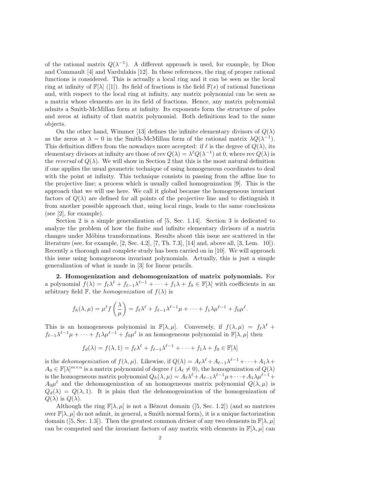of the rational matrix  $Q(\lambda^{-1})$ . A different approach is used, for example, by Dion and Commault [4] and Vardulakis [12]. In these references, the ring of proper rational functions is considered. This is actually a local ring and it can be seen as the local ring at infinity of  $\mathbb{F}[\lambda]$  ([1]). Its field of fractions is the field  $\mathbb{F}(s)$  of rational functions and, with respect to the local ring at infinity, any matrix polynomial can be seen as a matrix whose elements are in its field of fractions. Hence, any matrix polynomial admits a Smith-McMillan form at infinity. Its exponents form the structure of poles and zeros at infinity of that matrix polynomial. Both definitions lead to the same objects.

On the other hand, Wimmer [13] defines the infinite elementary divisors of  $Q(\lambda)$ as the zeros at  $\lambda = 0$  in the Smith-McMillan form of the rational matrix  $\lambda Q(\lambda^{-1})$ . This definition differs from the nowadays more accepted: if  $\ell$  is the degree of  $Q(\lambda)$ , its elementary divisors at infinity are those of rev  $Q(\lambda) = \lambda^{\ell} Q(\lambda^{-1})$  at 0, where rev  $Q(\lambda)$  is the reversal of  $Q(\lambda)$ . We will show in Section 2 that this is the most natural definition if one applies the usual geometric technique of using homogeneous coordinates to deal with the point at infinity. This technique consists in passing from the affine line to the projective line; a process which is usually called homogenization [9]. This is the approach that we will use here. We call it global because the homogeneous invariant factors of  $Q(\lambda)$  are defined for all points of the projective line and to distinguish it from another possible approach that, using local rings, leads to the same conclusions (see [2], for example).

Section 2 is a simple generalization of [5, Sec. 1.14]. Section 3 is dedicated to analyze the problem of how the finite and infinite elementary divisors of a matrix changes under Möbius transformations. Results about this issue are scattered in the literature (see, for example, [2, Sec. 4.2], [7, Th. 7.3], [14] and, above all, [3, Lem. 10]). Recently a thorough and complete study has been carried on in [10]. We will approach this issue using homogeneous invariant polynomials. Actually, this is just a simple generalization of what is made in [3] for linear pencils.

2. Homogenization and dehomogenization of matrix polynomials. For a polynomial  $f(\lambda) = f_{\ell} \lambda^{\ell} + f_{\ell-1} \lambda^{\ell-1} + \cdots + f_1 \lambda + f_0 \in \mathbb{F}[\lambda]$  with coefficients in an arbitrary field F, the *homogenization* of  $f(\lambda)$  is

$$
f_h(\lambda,\mu)=\mu^{\ell}f\left(\frac{\lambda}{\mu}\right)=f_{\ell}\lambda^{\ell}+f_{\ell-1}\lambda^{\ell-1}\mu+\cdots+f_1\lambda\mu^{\ell-1}+f_0\mu^{\ell}.
$$

This is an homogeneous polynomial in  $\mathbb{F}[\lambda, \mu]$ . Conversely, if  $f(\lambda, \mu) = f_{\ell} \lambda^{\ell} +$  $f_{\ell-1}\lambda^{\ell-1}\mu+\cdots+f_1\lambda\mu^{\ell-1}+f_0\mu^{\ell}$  is an homogeneous polynomial in  $\mathbb{F}[\lambda,\mu]$  then

$$
f_d(\lambda) = f(\lambda, 1) = f_{\ell} \lambda^{\ell} + f_{\ell-1} \lambda^{\ell-1} + \dots + f_1 \lambda + f_0 \in \mathbb{F}[\lambda]
$$

is the *dehomogenization* of  $f(\lambda, \mu)$ . Likewise, if  $Q(\lambda) = A_{\ell} \lambda^{\ell} + A_{\ell-1} \lambda^{\ell-1} + \cdots + A_1 \lambda +$  $A_0 \in \mathbb{F}[\lambda]^{m \times n}$  is a matrix polynomial of degree  $\ell(A_\ell \neq 0)$ , the homogenization of  $Q(\lambda)$ is the homogeneous matrix polynomial  $Q_h(\lambda, \mu) = A_\ell \lambda^\ell + A_{\ell-1} \lambda^{\ell-1} \mu + \cdots + A_1 \lambda \mu^{\ell-1} +$  $A_0\mu^{\ell}$  and the dehomogenization of an homogeneous matrix polynomial  $Q(\lambda,\mu)$  is  $Q_d(\lambda) = Q(\lambda, 1)$ . It is plain that the dehomogenization of the homogenization of  $Q(\lambda)$  is  $Q(\lambda)$ .

Although the ring  $\mathbb{F}[\lambda, \mu]$  is not a Bézout domain ([5, Sec. 1.2]) (and so matrices over  $\mathbb{F}[\lambda,\mu]$  do not admit, in general, a Smith normal form), it is a unique factorization domain ([5, Sec. 1.3]). Then the greatest common divisor of any two elements in  $\mathbb{F}[\lambda,\mu]$ can be computed and the invariant factors of any matrix with elements in  $\mathbb{F}[\lambda,\mu]$  can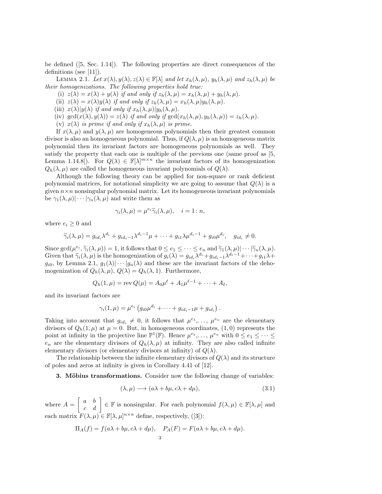be defined ([5, Sec. 1.14]). The following properties are direct consequences of the definitions (see [11]).

LEMMA 2.1. Let  $x(\lambda), y(\lambda), z(\lambda) \in \mathbb{F}[\lambda]$  and let  $x_h(\lambda, \mu), y_h(\lambda, \mu)$  and  $z_h(\lambda, \mu)$  be their homogenizations. The following properties hold true:

(i)  $z(\lambda) = x(\lambda) + y(\lambda)$  if and only if  $z_h(\lambda, \mu) = x_h(\lambda, \mu) + y_h(\lambda, \mu)$ .

(ii)  $z(\lambda) = x(\lambda)y(\lambda)$  if and only if  $z_h(\lambda, \mu) = x_h(\lambda, \mu)y_h(\lambda, \mu)$ .

- (iii)  $x(\lambda)|y(\lambda)$  if and only if  $x_h(\lambda,\mu)|y_h(\lambda,\mu)$ .
- (iv)  $\gcd(x(\lambda), y(\lambda)) = z(\lambda)$  if and only if  $\gcd(x_h(\lambda, \mu), y_h(\lambda, \mu)) = z_h(\lambda, \mu)$ .
- (v)  $x(\lambda)$  is prime if and only if  $x_h(\lambda, \mu)$  is prime.

If  $x(\lambda, \mu)$  and  $y(\lambda, \mu)$  are homogeneous polynomials then their greatest common divisor is also an homogeneous polynomial. Thus, if  $Q(\lambda, \mu)$  is an homogeneous matrix polynomial then its invariant factors are homogeneous polynomials as well. They satisfy the property that each one is multiple of the previous one (same proof as [5, Lemma 1.14.8]). For  $Q(\lambda) \in \mathbb{F}[\lambda]^{m \times n}$  the invariant factors of its homogenization  $Q_h(\lambda, \mu)$  are called the homogeneous invariant polynomials of  $Q(\lambda)$ .

Although the following theory can be applied for non-square or rank deficient polynomial matrices, for notational simplicity we are going to assume that  $Q(\lambda)$  is a given  $n \times n$  nonsingular polynomial matrix. Let its homogeneous invariant polynomials be  $\gamma_1(\lambda, \mu) \cdots |\gamma_n(\lambda, \mu)$  and write them as

$$
\gamma_i(\lambda,\mu) = \mu^{e_i} \widetilde{\gamma}_i(\lambda,\mu), \quad i = 1 \colon n,
$$

where  $e_i \geq 0$  and

$$
\widetilde{\gamma}_i(\lambda,\mu) = g_{id_i} \lambda^{d_i} + g_{id_i-1} \lambda^{d_i-1} \mu + \dots + g_{i1} \lambda \mu^{d_i-1} + g_{i0} \mu^{d_i}, \quad g_{id_i} \neq 0.
$$

Since  $\gcd(\mu^{e_i}, \widetilde{\gamma}_i(\lambda, \mu)) = 1$ , it follows that  $0 \le e_1 \le \cdots \le e_n$  and  $\widetilde{\gamma}_1(\lambda, \mu) \cdots |\widetilde{\gamma}_n(\lambda, \mu)$ .<br>Civen that  $\widetilde{\gamma}_i(\lambda, \mu)$  is the homogonization of  $a(\lambda) = a_i, \lambda^{d_i+1} a_i, \lambda^{d_i-1} + \cdots + a_k, \lambda+1$ Given that  $\widetilde{\gamma}_i(\lambda, \mu)$  is the homogenization of  $g_i(\lambda) = g_{id_i} \lambda^{d_i} + g_{id_i-1} \lambda^{d_i-1} + \cdots + g_{i1} \lambda +$  $g_{i0}$ , by Lemma 2.1,  $g_1(\lambda) \cdots \vdots g_n(\lambda)$  and these are the invariant factors of the dehomogenization of  $Q_h(\lambda, \mu)$ ,  $Q(\lambda) = Q_h(\lambda, 1)$ . Furthermore,

$$
Q_h(1,\mu) = \text{rev } Q(\mu) = A_0 \mu^{\ell} + A_1 \mu^{\ell-1} + \dots + A_{\ell},
$$

and its invariant factors are

$$
\gamma_i(1,\mu)=\mu^{e_i}\left(g_{i0}\mu^{d_i}+\cdots+g_{id_i-1}\mu+g_{id_i}\right).
$$

Taking into account that  $g_{id_i} \neq 0$ , it follows that  $\mu^{e_1}, \ldots, \mu^{e_n}$  are the elementary divisors of  $Q_h(1,\mu)$  at  $\mu = 0$ . But, in homogeneous coordinates,  $(1,0)$  represents the point at infinity in the projective line  $\mathbb{P}^1(\mathbb{F})$ . Hence  $\mu^{e_1}, \ldots, \mu^{e_n}$  with  $0 \le e_1 \le \cdots \le$  $e_n$  are the elementary divisors of  $Q_h(\lambda, \mu)$  at infinity. They are also called infinite elementary divisors (or elementary divisors at infinity) of  $Q(\lambda)$ .

The relationship between the infinite elementary divisors of  $Q(\lambda)$  and its structure of poles and zeros at infinity is given in Corollary 4.41 of [12].

**3. Möbius transformations.** Consider now the following change of variables:

$$
(\lambda, \mu) \longrightarrow (a\lambda + b\mu, c\lambda + d\mu), \tag{3.1}
$$

where  $A = \begin{bmatrix} a & b \\ c & d \end{bmatrix} \in \mathbb{F}$  is nonsingular. For each polynomial  $f(\lambda, \mu) \in \mathbb{F}[\lambda, \mu]$  and each matrix  $F(\lambda, \mu) \in \mathbb{F}[\lambda, \mu]^{n \times n}$  define, respectively, ([3]):

$$
\Pi_A(f) = f(a\lambda + b\mu, c\lambda + d\mu), \quad P_A(F) = F(a\lambda + b\mu, c\lambda + d\mu).
$$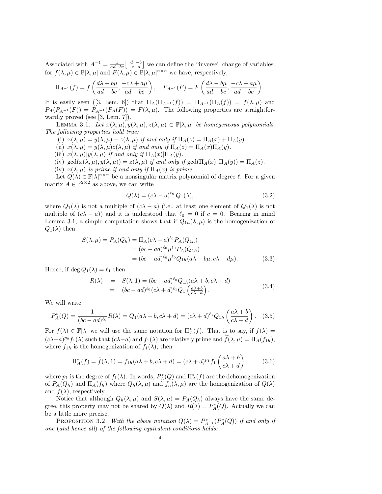Associated with  $A^{-1} = \frac{1}{ad-bc} \begin{bmatrix} d & -b \\ -c & a \end{bmatrix}$  we can define the "inverse" change of variables: for  $f(\lambda, \mu) \in \mathbb{F}[\lambda, \mu]$  and  $F(\lambda, \mu) \in \mathbb{F}[\lambda, \mu]^{n \times n}$  we have, respectively,

$$
\Pi_{A^{-1}}(f) = f\left(\frac{d\lambda - b\mu}{ad - bc}, \frac{-c\lambda + a\mu}{ad - bc}\right), \quad P_{A^{-1}}(F) = F\left(\frac{d\lambda - b\mu}{ad - bc}, \frac{-c\lambda + a\mu}{ad - bc}\right).
$$

It is easily seen ([3, Lem. 6]) that  $\Pi_A(\Pi_{A^{-1}}(f)) = \Pi_{A^{-1}}(\Pi_A(f)) = f(\lambda, \mu)$  and  $P_A(P_{A^{-1}}(F)) = P_{A^{-1}}(P_A(F)) = F(\lambda, \mu)$ . The following properties are straightforwardly proved (see [3, Lem. 7]).

LEMMA 3.1. Let  $x(\lambda, \mu), y(\lambda, \mu), z(\lambda, \mu) \in \mathbb{F}[\lambda, \mu]$  be homogeneous polynomials. The following properties hold true:

- (i)  $x(\lambda, \mu) = y(\lambda, \mu) + z(\lambda, \mu)$  if and only if  $\Pi_A(z) = \Pi_A(x) + \Pi_A(y)$ .
- (ii)  $x(\lambda, \mu) = y(\lambda, \mu)z(\lambda, \mu)$  if and only if  $\Pi_A(z) = \Pi_A(x)\Pi_A(y)$ .
- (iii)  $x(\lambda,\mu)|y(\lambda,\mu)$  if and only if  $\Pi_A(x)|\Pi_A(y)$ .
- (iv)  $\gcd(x(\lambda,\mu), y(\lambda,\mu)) = z(\lambda,\mu)$  if and only if  $\gcd(\Pi_A(x), \Pi_A(y)) = \Pi_A(z)$ .
- (iv)  $x(\lambda, \mu)$  is prime if and only if  $\Pi_A(x)$  is prime.

Let  $Q(\lambda) \in \mathbb{F}[\lambda]^{n \times n}$  be a nonsingular matrix polynomial of degree  $\ell$ . For a given matrix  $A \in \mathbb{F}^{2 \times 2}$  as above, we can write

$$
Q(\lambda) = (c\lambda - a)^{\ell_0} Q_1(\lambda), \qquad (3.2)
$$

where  $Q_1(\lambda)$  is not a multiple of  $(c\lambda - a)$  (i.e., at least one element of  $Q_1(\lambda)$  is not multiple of  $(c\lambda - a)$  and it is understood that  $\ell_0 = 0$  if  $c = 0$ . Bearing in mind Lemma 3.1, a simple computation shows that if  $Q_{1h}(\lambda,\mu)$  is the homogenization of  $Q_1(\lambda)$  then

$$
S(\lambda, \mu) = P_A(Q_h) = \Pi_A(c\lambda - a)^{\ell_0} P_A(Q_{1h})
$$
  
=  $(bc - ad)^{\ell_0} \mu^{\ell_0} P_A(Q_{1h})$   
=  $(bc - ad)^{\ell_0} \mu^{\ell_0} Q_{1h}(a\lambda + b\mu, c\lambda + d\mu).$  (3.3)

Hence, if deg  $Q_1(\lambda) = \ell_1$  then

$$
R(\lambda) := S(\lambda, 1) = (bc - ad)^{\ell_0} Q_{1h}(a\lambda + b, c\lambda + d)
$$
  
= 
$$
(bc - ad)^{\ell_0} (c\lambda + d)^{\ell_1} Q_1 \left(\frac{a\lambda + b}{c\lambda + d}\right).
$$
 (3.4)

We will write

$$
P_A^*(Q) = \frac{1}{(bc - ad)^{\ell_0}} R(\lambda) = Q_1(a\lambda + b, c\lambda + d) = (c\lambda + d)^{\ell_1} Q_{1h} \left(\frac{a\lambda + b}{c\lambda + d}\right). \tag{3.5}
$$

For  $f(\lambda) \in \mathbb{F}[\lambda]$  we will use the same notation for  $\Pi_A^*(f)$ . That is to say, if  $f(\lambda) =$  $(c\lambda-a)^{p_0} f_1(\lambda)$  such that  $(c\lambda-a)$  and  $f_1(\lambda)$  are relatively prime and  $\tilde{f}(\lambda,\mu) = \Pi_A(f_{1h}),$ where  $f_{1h}$  is the homogenization of  $f_1(\lambda)$ , then

$$
\Pi_A^*(f) = \tilde{f}(\lambda, 1) = f_{1h}(a\lambda + b, c\lambda + d) = (c\lambda + d)^{p_1} f_1\left(\frac{a\lambda + b}{c\lambda + d}\right),\tag{3.6}
$$

where  $p_1$  is the degree of  $f_1(\lambda)$ . In words,  $P_A^*(Q)$  and  $\Pi_A^*(f)$  are the dehomogenization of  $P_A(Q_h)$  and  $\Pi_A(f_h)$  where  $Q_h(\lambda, \mu)$  and  $f_h(\lambda, \mu)$  are the homogenization of  $Q(\lambda)$ and  $f(\lambda)$ , respectively.

Notice that although  $Q_h(\lambda, \mu)$  and  $S(\lambda, \mu) = P_A(Q_h)$  always have the same degree, this property may not be shared by  $Q(\lambda)$  and  $R(\lambda) = P_A^*(Q)$ . Actually we can be a little more precise.

PROPOSITION 3.2. With the above notation  $Q(\lambda) = P_{A^{-1}}^*(P_A^*(Q))$  if and only if one (and hence all) of the following equivalent conditions holds: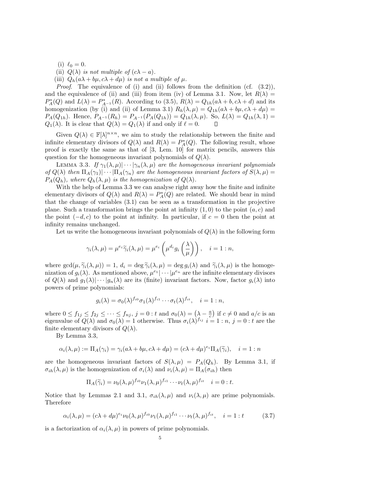(i)  $\ell_0 = 0$ .

(ii) 
$$
Q(\lambda)
$$
 is not multiple of  $(c\lambda - a)$ .

(iii)  $Q_h(a\lambda + b\mu, c\lambda + d\mu)$  is not a multiple of  $\mu$ .

*Proof.* The equivalence of (i) and (ii) follows from the definition (cf.  $(3.2)$ ), and the equivalence of (ii) and (iii) from item (iv) of Lemma 3.1. Now, let  $R(\lambda) =$  $P_A^*(Q)$  and  $L(\lambda) = P_{A^{-1}}^*(R)$ . According to (3.5),  $R(\lambda) = Q_{1h}(a\lambda + b, c\lambda + d)$  and its homogenization (by (i) and (ii) of Lemma 3.1)  $R_h(\lambda, \mu) = Q_{1h}(a\lambda + b\mu, c\lambda + d\mu)$  $P_A(Q_{1h})$ . Hence,  $P_{A^{-1}}(R_h) = P_{A^{-1}}(P_A(Q_{1h})) = Q_{1h}(\lambda, \mu)$ . So,  $L(\lambda) = Q_{1h}(\lambda, 1) =$  $Q_1(\lambda)$ . It is clear that  $Q(\lambda) = Q_1(\lambda)$  if and only if  $\ell = 0$ .

Given  $Q(\lambda) \in \mathbb{F}[\lambda]^{n \times n}$ , we aim to study the relationship between the finite and infinite elementary divisors of  $Q(\lambda)$  and  $R(\lambda) = P_A^*(Q)$ . The following result, whose proof is exactly the same as that of [3, Lem. 10] for matrix pencils, answers this question for the homogeneous invariant polynomials of  $Q(\lambda)$ .

LEMMA 3.3. If  $\gamma_1(\lambda,\mu) \cdots \gamma_n(\lambda,\mu)$  are the homogeneous invariant polynomials of  $Q(\lambda)$  then  $\Pi_A(\gamma_1)|\cdots|\Pi_A(\gamma_n)$  are the homogeneous invariant factors of  $S(\lambda,\mu)$  $P_A(Q_h)$ , where  $Q_h(\lambda,\mu)$  is the homogenization of  $Q(\lambda)$ .

With the help of Lemma 3.3 we can analyse right away how the finite and infinite elementary divisors of  $Q(\lambda)$  and  $R(\lambda) = P_A^*(Q)$  are related. We should bear in mind that the change of variables (3.1) can be seen as a transformation in the projective plane. Such a transformation brings the point at infinity  $(1,0)$  to the point  $(a, c)$  and the point  $(-d, c)$  to the point at infinity. In particular, if  $c = 0$  then the point at infinity remains unchanged.

Let us write the homogeneous invariant polynomials of  $Q(\lambda)$  in the following form

$$
\gamma_i(\lambda,\mu) = \mu^{e_i} \widetilde{\gamma}_i(\lambda,\mu) = \mu^{e_i} \left( \mu^{d_i} g_i \left( \frac{\lambda}{\mu} \right) \right), \quad i = 1 : n,
$$

where  $gcd(\mu, \widetilde{\gamma}_i(\lambda, \mu)) = 1, d_i = deg \widetilde{\gamma}_i(\lambda, \mu) = deg g_i(\lambda)$  and  $\widetilde{\gamma}_i(\lambda, \mu)$  is the homogenization of  $g_i(\lambda)$ . As mentioned above,  $\mu^{e_1}|\cdots|\mu^{e_n}$  are the infinite elementary divisors of  $Q(\lambda)$  and  $g_1(\lambda) \cdots \vdots g_n(\lambda)$  are its (finite) invariant factors. Now, factor  $g_i(\lambda)$  into powers of prime polynomials:

$$
g_i(\lambda) = \sigma_0(\lambda)^{f_{i0}} \sigma_1(\lambda)^{f_{i1}} \cdots \sigma_t(\lambda)^{f_{it}}, \quad i = 1 : n,
$$

where  $0 \le f_{1j} \le f_{2j} \le \cdots \le f_{nj}, j = 0$ : t and  $\sigma_0(\lambda) = (\lambda - \frac{a}{c})$  if  $c \ne 0$  and  $a/c$  is an eigenvalue of  $Q(\lambda)$  and  $\sigma_0(\lambda) = 1$  otherwise. Thus  $\sigma_i(\lambda)$   $f_{ij}$   $i = 1 : n, j = 0 : t$  are the finite elementary divisors of  $Q(\lambda)$ .

By Lemma 3.3,

$$
\alpha_i(\lambda, \mu) := \Pi_A(\gamma_i) = \gamma_i(a\lambda + b\mu, c\lambda + d\mu) = (c\lambda + d\mu)^{e_i} \Pi_A(\widetilde{\gamma}_i), \quad i = 1 : n
$$

are the homogeneous invariant factors of  $S(\lambda, \mu) = P_A(Q_h)$ . By Lemma 3.1, if  $\sigma_{ih}(\lambda,\mu)$  is the homogenization of  $\sigma_i(\lambda)$  and  $\nu_i(\lambda,\mu) = \Pi_A(\sigma_{ih})$  then

$$
\Pi_A(\widetilde{\gamma}_i) = \nu_0(\lambda, \mu)^{f_{i0}} \nu_1(\lambda, \mu)^{f_{i1}} \cdots \nu_t(\lambda, \mu)^{f_{it}} \quad i = 0 : t.
$$

Notice that by Lemmas 2.1 and 3.1,  $\sigma_{ih}(\lambda,\mu)$  and  $\nu_i(\lambda,\mu)$  are prime polynomials. Therefore

$$
\alpha_i(\lambda,\mu) = (c\lambda + d\mu)^{e_i} \nu_0(\lambda,\mu)^{f_{i0}} \nu_1(\lambda,\mu)^{f_{i1}} \cdots \nu_t(\lambda,\mu)^{f_{it}}, \quad i = 1 : t \tag{3.7}
$$

is a factorization of  $\alpha_i(\lambda, \mu)$  in powers of prime polynomials.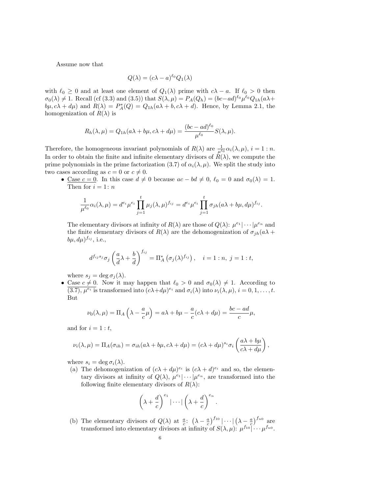Assume now that

$$
Q(\lambda) = (c\lambda - a)^{\ell_0} Q_1(\lambda)
$$

with  $\ell_0 \geq 0$  and at least one element of  $Q_1(\lambda)$  prime with  $c\lambda - a$ . If  $\ell_0 > 0$  then  $\sigma_0(\lambda) \neq 1$ . Recall (cf (3.3) and (3.5)) that  $S(\lambda, \mu) = P_A(Q_h) = (bc - ad)^{\ell_0} \mu^{\ell_0} Q_{1h}(a\lambda +$  $b\mu$ ,  $c\lambda + d\mu$ ) and  $R(\lambda) = P_A^*(Q) = Q_{1h}(a\lambda + b, c\lambda + d)$ . Hence, by Lemma 2.1, the homogenization of  $R(\lambda)$  is

$$
R_h(\lambda, \mu) = Q_{1h}(a\lambda + b\mu, c\lambda + d\mu) = \frac{(bc - ad)^{\ell_0}}{\mu^{\ell_0}} S(\lambda, \mu).
$$

Therefore, the homogeneous invariant polynomials of  $R(\lambda)$  are  $\frac{1}{\mu^{\ell_0}}\alpha_i(\lambda,\mu)$ ,  $i = 1 : n$ . In order to obtain the finite and infinite elementary divisors of  $R(\lambda)$ , we compute the prime polynomials in the prime factorization (3.7) of  $\alpha_i(\lambda, \mu)$ . We split the study into two cases according as  $c = 0$  or  $c \neq 0$ .

• <u>Case  $c = 0$ </u>. In this case  $d \neq 0$  because  $ac - bd \neq 0$ ,  $\ell_0 = 0$  and  $\sigma_0(\lambda) = 1$ . Then for  $i = 1: n$ 

$$
\frac{1}{\mu^{\ell_0}}\alpha_i(\lambda,\mu) = d^{e_i}\mu^{e_i} \prod_{j=1}^t \mu_j(\lambda,\mu)^{f_{ij}} = d^{e_i}\mu^{e_i} \prod_{j=1}^t \sigma_{jh}(a\lambda + b\mu,d\mu)^{f_{ij}}.
$$

The elementary divisors at infinity of  $R(\lambda)$  are those of  $Q(\lambda)$ :  $\mu^{e_1}|\cdots|\mu^{e_n}$  and the finite elementary divisors of  $R(\lambda)$  are the dehomogenization of  $\sigma_{ih}(a\lambda +$  $(b\mu, d\mu)^{f_{ij}}$ , i.e.,

$$
d^{f_{ij}s_j}\sigma_j\left(\frac{a}{d}\lambda+\frac{b}{d}\right)^{f_{ij}}=\Pi_A^*\left(\sigma_j(\lambda)^{f_{ij}}\right), \quad i=1:n, \ j=1:t,
$$

where  $s_j = \deg \sigma_j(\lambda)$ .

• Case  $c \neq 0$ . Now it may happen that  $\ell_0 > 0$  and  $\sigma_0(\lambda) \neq 1$ . According to (3.7),  $\mu^{e_i}$  is transformed into  $(c\lambda + d\mu)^{e_i}$  and  $\sigma_i(\lambda)$  into  $\nu_i(\lambda, \mu)$ ,  $i = 0, 1, \ldots, t$ . But

$$
\nu_0(\lambda,\mu) = \Pi_A \left(\lambda - \frac{a}{c}\mu\right) = a\lambda + b\mu - \frac{a}{c}(c\lambda + d\mu) = \frac{bc - ad}{c}\mu,
$$

and for  $i = 1 : t$ ,

$$
\nu_i(\lambda,\mu) = \Pi_A(\sigma_{ih}) = \sigma_{ih}(a\lambda + b\mu, c\lambda + d\mu) = (c\lambda + d\mu)^{s_i} \sigma_i \left(\frac{a\lambda + b\mu}{c\lambda + d\mu}\right),
$$

where  $s_i = \deg \sigma_i(\lambda)$ .

(a) The dehomogenization of  $(c\lambda + d\mu)^{e_i}$  is  $(c\lambda + d)^{e_i}$  and so, the elementary divisors at infinity of  $Q(\lambda)$ ,  $\mu^{e_1} | \cdots | \mu^{e_n}$ , are transformed into the following finite elementary divisors of  $R(\lambda)$ :

$$
\left(\lambda + \frac{d}{c}\right)^{e_1} |\cdots| \left(\lambda + \frac{d}{c}\right)^{e_n}.
$$

(b) The elementary divisors of  $Q(\lambda)$  at  $\frac{a}{c}$ :  $(\lambda - \frac{a}{c})^{f_{10}}$   $\cdots$   $(\lambda - \frac{a}{c})^{f_{n0}}$  are transformed into elementary divisors at infinity of  $S(\lambda, \mu)$ :  $\mu^{f_{10}}$  ...  $\mu^{f_{n0}}$ .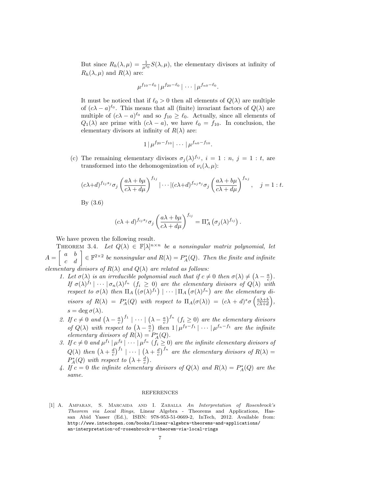But since  $R_h(\lambda, \mu) = \frac{1}{\mu^{\ell_0}} S(\lambda, \mu)$ , the elementary divisors at infinity of  $R_h(\lambda, \mu)$  and  $R(\lambda)$  are:

$$
\mu^{f_{10}-\ell_0}|\mu^{f_{20}-\ell_0}|\cdots|\mu^{f_{n0}-\ell_0}.
$$

It must be noticed that if  $\ell_0 > 0$  then all elements of  $Q(\lambda)$  are multiple of  $(c\lambda - a)^{\ell_0}$ . This means that all (finite) invariant factors of  $Q(\lambda)$  are multiple of  $(c\lambda - a)^{\ell_0}$  and so  $f_{10} \geq \ell_0$ . Actually, since all elements of  $Q_1(\lambda)$  are prime with  $(c\lambda - a)$ , we have  $\ell_0 = f_{10}$ . In conclusion, the elementary divisors at infinity of  $R(\lambda)$  are:

$$
1|\mu^{f_{20}-f_{10}}|\cdots|\mu^{f_{n0}-f_{10}}.
$$

(c) The remaining elementary divisors  $\sigma_j(\lambda)$   $f_{ij}$ ,  $i = 1 : n, j = 1 : t$ , are transformed into the dehomogenization of  $\nu_i(\lambda,\mu)$ :

$$
(c\lambda+d)^{f_{1j}s_j}\sigma_j\left(\frac{a\lambda+b\mu}{c\lambda+d\mu}\right)^{f_{1j}}|\cdots|(c\lambda+d)^{f_{nj}s_j}\sigma_j\left(\frac{a\lambda+b\mu}{c\lambda+d\mu}\right)^{f_{nj}},\quad j=1:t.
$$

By (3.6)

$$
(c\lambda + d)^{f_{ij}s_j} \sigma_j \left(\frac{a\lambda + b\mu}{c\lambda + d\mu}\right)^{f_{ij}} = \Pi_A^* \left(\sigma_j(\lambda)^{f_{ij}}\right).
$$

We have proven the following result.

THEOREM 3.4. Let  $Q(\lambda) \in \mathbb{F}[\lambda]^{n \times n}$  be a nonsingular matrix polynomial, let  $A=\left[\begin{array}{cc} a & b \ c & d \end{array}\right]\in\mathbb{F}^{2\times 2}$  be nonsingular and  $R(\lambda)=P_A^*(Q).$  Then the finite and infinite elementary divisors of  $R(\lambda)$  and  $Q(\lambda)$  are related as follows:

- 1. Let  $\sigma(\lambda)$  is an irreducible polynomial such that if  $c \neq 0$  then  $\sigma(\lambda) \neq (\lambda \frac{a}{c})$ . If  $\sigma(\lambda)^{f_1} \mid \cdots \mid \sigma_n(\lambda)^{f_n}$   $(f_i \geq 0)$  are the elementary divisors of  $Q(\lambda)$  with respect to  $\sigma(\lambda)$  then  $\Pi_A((\sigma(\lambda)^{f_1}) \mid \cdots \mid \Pi_A(\sigma(\lambda)^{f_n})$  are the elementary divisors of  $R(\lambda) = P_A^*(Q)$  with respect to  $\Pi_A(\sigma(\lambda)) = (c\lambda + d)^s \sigma\left(\frac{a\lambda + b}{c\lambda + d}\right)$ ,  $s = \deg \sigma(\lambda).$
- 2. If  $c \neq 0$  and  $(\lambda \frac{a}{c})^{f_1} \mid \cdots \mid (\lambda \frac{a}{c})^{f_n}$   $(f_i \geq 0)$  are the elementary divisors of  $Q(\lambda)$  with respect to  $(\lambda - \frac{a}{c})$  then  $1 \mid \mu^{f_2 - f_1} \mid \cdots \mid \mu^{f_n - f_1}$  are the infinite elementary divisors of  $R(\lambda) = P_A^*(Q)$ .
- 3. If  $c \neq 0$  and  $\mu^{f_1} | \mu^{f_2} | \cdots | \mu^{f_n} (f_i \geq 0)$  are the infinite elementary divisors of  $Q(\lambda)$  then  $(\lambda + \frac{d}{c})^{f_1} \mid \cdots \mid (\lambda + \frac{d}{c})^{f_n}$  are the elementary divisors of  $R(\lambda) =$  $P_A^*(Q)$  with respect to  $(\lambda + \frac{d}{c})$ .
- 4. If  $c = 0$  the infinite elementary divisors of  $Q(\lambda)$  and  $R(\lambda) = P_A^*(Q)$  are the same.

## REFERENCES

[1] A. Amparan, S. Marcaida and I. Zaballa An Interpretation of Rosenbrock's Theorem via Local Rings, Linear Algebra - Theorems and Applications, Hassan Abid Yasser (Ed.), ISBN: 978-953-51-0669-2, InTech, 2012. Available from: http://www.intechopen.com/books/linear-algebra-theorems-and-applications/ an-interpretation-of-rosenbrock-s-theorem-via-local-rings